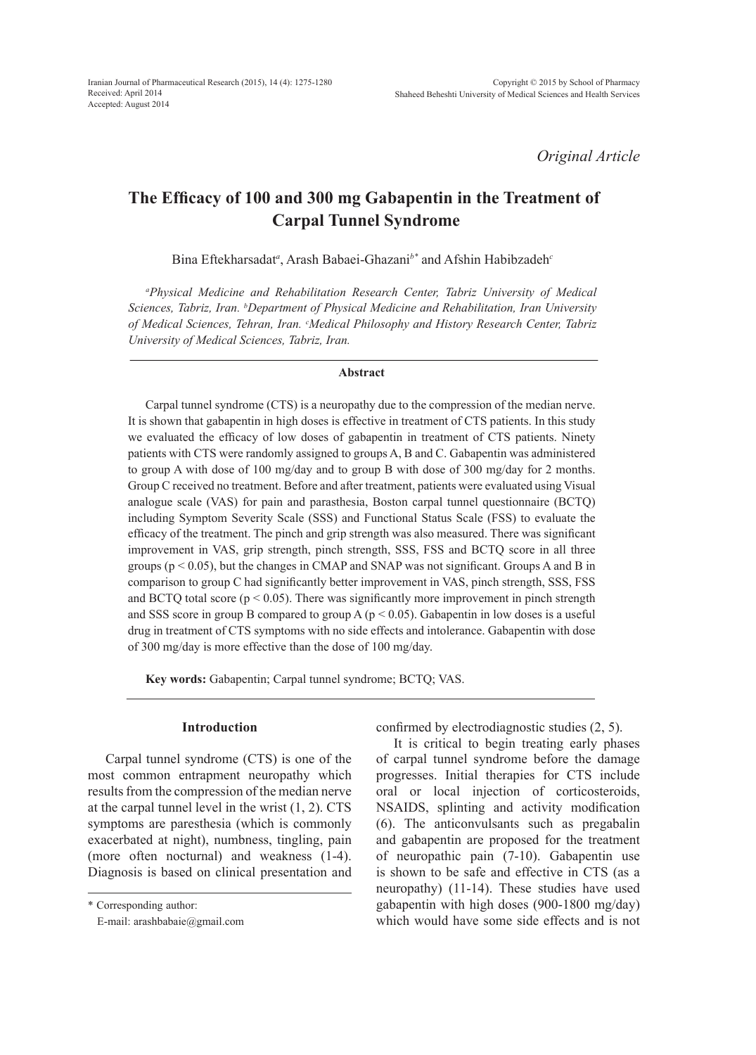*Original Article*

# **The Efficacy of 100 and 300 mg Gabapentin in the Treatment of Carpal Tunnel Syndrome**

Bina Eftekharsadat*<sup>a</sup>* , Arash Babaei-Ghazani*b\** and Afshin Habibzadeh*<sup>c</sup>*

*a Physical Medicine and Rehabilitation Research Center, Tabriz University of Medical Sciences, Tabriz, Iran. b Department of Physical Medicine and Rehabilitation, Iran University*  of Medical Sciences, Tehran, Iran. <sup>c</sup>Medical Philosophy and History Research Center, Tabriz *University of Medical Sciences, Tabriz, Iran.*

## **Abstract**

Carpal tunnel syndrome (CTS) is a neuropathy due to the compression of the median nerve. It is shown that gabapentin in high doses is effective in treatment of CTS patients. In this study we evaluated the efficacy of low doses of gabapentin in treatment of CTS patients. Ninety patients with CTS were randomly assigned to groups A, B and C. Gabapentin was administered to group A with dose of 100 mg/day and to group B with dose of 300 mg/day for 2 months. Group C received no treatment. Before and after treatment, patients were evaluated using Visual analogue scale (VAS) for pain and parasthesia, Boston carpal tunnel questionnaire (BCTQ) including Symptom Severity Scale (SSS) and Functional Status Scale (FSS) to evaluate the efficacy of the treatment. The pinch and grip strength was also measured. There was significant improvement in VAS, grip strength, pinch strength, SSS, FSS and BCTQ score in all three groups ( $p < 0.05$ ), but the changes in CMAP and SNAP was not significant. Groups A and B in comparison to group C had significantly better improvement in VAS, pinch strength, SSS, FSS and BCTQ total score ( $p < 0.05$ ). There was significantly more improvement in pinch strength and SSS score in group B compared to group A ( $p < 0.05$ ). Gabapentin in low doses is a useful drug in treatment of CTS symptoms with no side effects and intolerance. Gabapentin with dose of 300 mg/day is more effective than the dose of 100 mg/day.

**Key words:** Gabapentin; Carpal tunnel syndrome; BCTQ; VAS.

## **Introduction**

Carpal tunnel syndrome (CTS) is one of the most common entrapment neuropathy which results from the compression of the median nerve at the carpal tunnel level in the wrist  $(1, 2)$ . CTS symptoms are paresthesia (which is commonly exacerbated at night), numbness, tingling, pain (more often nocturnal) and weakness (1-4). Diagnosis is based on clinical presentation and confirmed by electrodiagnostic studies (2, 5).

It is critical to begin treating early phases of carpal tunnel syndrome before the damage progresses. Initial therapies for CTS include oral or local injection of corticosteroids, NSAIDS, splinting and activity modification (6). The anticonvulsants such as pregabalin and gabapentin are proposed for the treatment of neuropathic pain (7-10). Gabapentin use is shown to be safe and effective in CTS (as a neuropathy) (11-14). These studies have used gabapentin with high doses (900-1800 mg/day) which would have some side effects and is not

<sup>\*</sup> Corresponding author:

E-mail: arashbabaie@gmail.com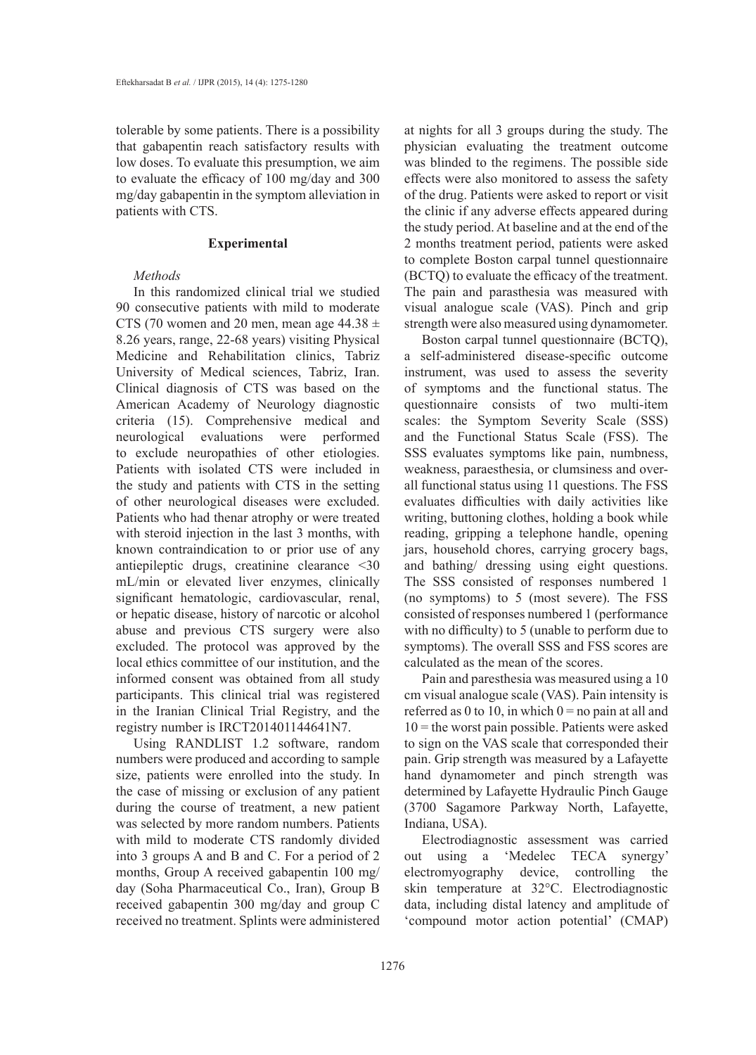tolerable by some patients. There is a possibility that gabapentin reach satisfactory results with low doses. To evaluate this presumption, we aim to evaluate the efficacy of 100 mg/day and 300 mg/day gabapentin in the symptom alleviation in patients with CTS.

## **Experimental**

# *Methods*

In this randomized clinical trial we studied 90 consecutive patients with mild to moderate CTS (70 women and 20 men, mean age  $44.38 \pm$ 8.26 years, range, 22-68 years) visiting Physical Medicine and Rehabilitation clinics, Tabriz University of Medical sciences, Tabriz, Iran. Clinical diagnosis of CTS was based on the American Academy of Neurology diagnostic criteria (15). Comprehensive medical and neurological evaluations were performed to exclude neuropathies of other etiologies. Patients with isolated CTS were included in the study and patients with CTS in the setting of other neurological diseases were excluded. Patients who had thenar atrophy or were treated with steroid injection in the last 3 months, with known contraindication to or prior use of any antiepileptic drugs, creatinine clearance <30 mL/min or elevated liver enzymes, clinically significant hematologic, cardiovascular, renal, or hepatic disease, history of narcotic or alcohol abuse and previous CTS surgery were also excluded. The protocol was approved by the local ethics committee of our institution, and the informed consent was obtained from all study participants. This clinical trial was registered in the Iranian Clinical Trial Registry, and the registry number is IRCT201401144641N7.

Using RANDLIST 1.2 software, random numbers were produced and according to sample size, patients were enrolled into the study. In the case of missing or exclusion of any patient during the course of treatment, a new patient was selected by more random numbers. Patients with mild to moderate CTS randomly divided into 3 groups A and B and C. For a period of 2 months, Group A received gabapentin 100 mg/ day (Soha Pharmaceutical Co., Iran), Group B received gabapentin 300 mg/day and group C received no treatment. Splints were administered

at nights for all 3 groups during the study. The physician evaluating the treatment outcome was blinded to the regimens. The possible side effects were also monitored to assess the safety of the drug. Patients were asked to report or visit the clinic if any adverse effects appeared during the study period. At baseline and at the end of the 2 months treatment period, patients were asked to complete Boston carpal tunnel questionnaire (BCTQ) to evaluate the efficacy of the treatment. The pain and parasthesia was measured with visual analogue scale (VAS). Pinch and grip strength were also measured using dynamometer.

Boston carpal tunnel questionnaire (BCTQ), a self-administered disease-specific outcome instrument, was used to assess the severity of symptoms and the functional status. The questionnaire consists of two multi-item scales: the Symptom Severity Scale (SSS) and the Functional Status Scale (FSS). The SSS evaluates symptoms like pain, numbness, weakness, paraesthesia, or clumsiness and overall functional status using 11 questions. The FSS evaluates difficulties with daily activities like writing, buttoning clothes, holding a book while reading, gripping a telephone handle, opening jars, household chores, carrying grocery bags, and bathing/ dressing using eight questions. The SSS consisted of responses numbered 1 (no symptoms) to 5 (most severe). The FSS consisted of responses numbered 1 (performance with no difficulty) to 5 (unable to perform due to symptoms). The overall SSS and FSS scores are calculated as the mean of the scores.

Pain and paresthesia was measured using a 10 cm visual analogue scale (VAS). Pain intensity is referred as 0 to 10, in which  $0 =$  no pain at all and  $10$  = the worst pain possible. Patients were asked to sign on the VAS scale that corresponded their pain. Grip strength was measured by a Lafayette hand dynamometer and pinch strength was determined by Lafayette Hydraulic Pinch Gauge (3700 Sagamore Parkway North, Lafayette, Indiana, USA).

Electrodiagnostic assessment was carried out using a 'Medelec TECA synergy' electromyography device, controlling the skin temperature at 32°C. Electrodiagnostic data, including distal latency and amplitude of 'compound motor action potential' (CMAP)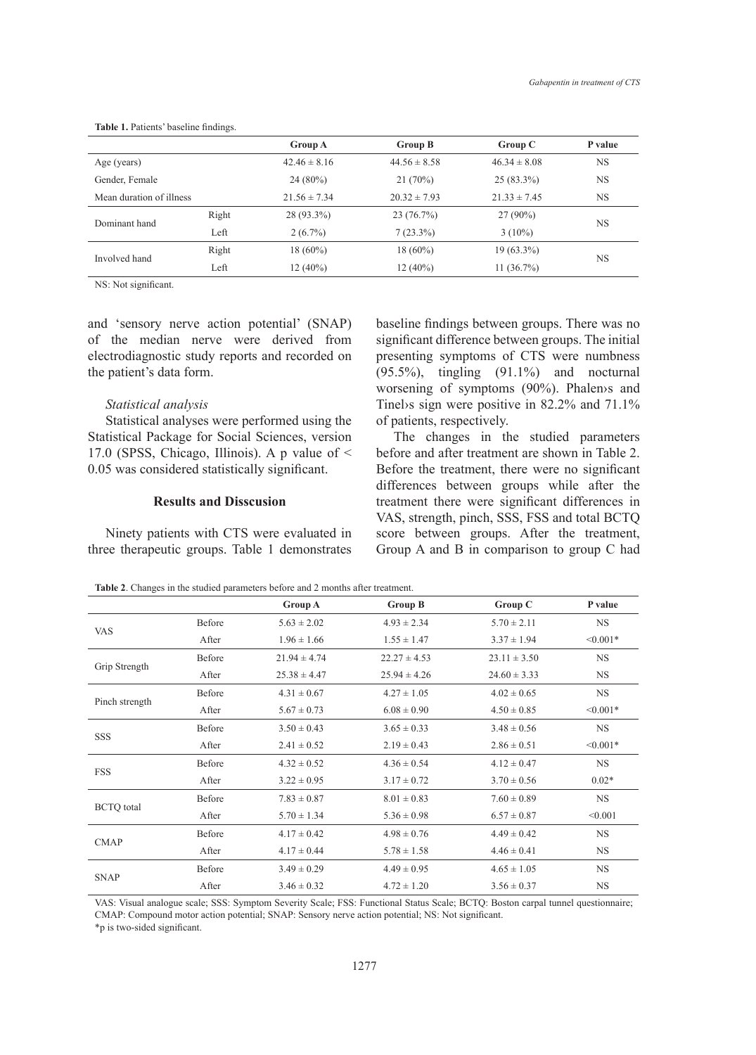|                          |       | <b>Group A</b>   | Group B          | Group C          | P value   |  |
|--------------------------|-------|------------------|------------------|------------------|-----------|--|
| Age (years)              |       | $42.46 \pm 8.16$ | $44.56 \pm 8.58$ | $46.34 \pm 8.08$ | <b>NS</b> |  |
| Gender, Female           |       | $24(80\%)$       | 21(70%)          | $25(83.3\%)$     | <b>NS</b> |  |
| Mean duration of illness |       | $21.56 \pm 7.34$ | $20.32 \pm 7.93$ | $21.33 \pm 7.45$ | <b>NS</b> |  |
| Dominant hand            | Right | $28(93.3\%)$     | 23(76.7%)        | $27(90\%)$       | <b>NS</b> |  |
|                          | Left  | $2(6.7\%)$       | $7(23.3\%)$      | $3(10\%)$        |           |  |
| Involved hand            | Right | $18(60\%)$       | $18(60\%)$       | $19(63.3\%)$     |           |  |
|                          | Left  | $12(40\%)$       | $12(40\%)$       | $11(36.7\%)$     | <b>NS</b> |  |

**Table 1.** Patients' baseline findings.

NS: Not significant.

and 'sensory nerve action potential' (SNAP) of the median nerve were derived from electrodiagnostic study reports and recorded on the patient's data form.

## *Statistical analysis*

Statistical analyses were performed using the Statistical Package for Social Sciences, version 17.0 (SPSS, Chicago, Illinois). A p value of < 0.05 was considered statistically significant.

# **Results and Disscusion**

Ninety patients with CTS were evaluated in three therapeutic groups. Table 1 demonstrates baseline findings between groups. There was no significant difference between groups. The initial presenting symptoms of CTS were numbness (95.5%), tingling (91.1%) and nocturnal worsening of symptoms (90%). Phalen›s and Tinel›s sign were positive in 82.2% and 71.1% of patients, respectively.

The changes in the studied parameters before and after treatment are shown in Table 2. Before the treatment, there were no significant differences between groups while after the treatment there were significant differences in VAS, strength, pinch, SSS, FSS and total BCTQ score between groups. After the treatment, Group A and B in comparison to group C had

**Table 2**. Changes in the studied parameters before and 2 months after treatment.

|                   |        | Group A          | <b>Group B</b>   | Group C          | P value    |
|-------------------|--------|------------------|------------------|------------------|------------|
| <b>VAS</b>        | Before | $5.63 \pm 2.02$  | $4.93 \pm 2.34$  | $5.70 \pm 2.11$  | <b>NS</b>  |
|                   | After  | $1.96 \pm 1.66$  | $1.55 \pm 1.47$  | $3.37 \pm 1.94$  | $< 0.001*$ |
| Grip Strength     | Before | $21.94 \pm 4.74$ | $22.27 \pm 4.53$ | $23.11 \pm 3.50$ | <b>NS</b>  |
|                   | After  | $25.38 \pm 4.47$ | $25.94 \pm 4.26$ | $24.60 \pm 3.33$ | <b>NS</b>  |
| Pinch strength    | Before | $4.31 \pm 0.67$  | $4.27 \pm 1.05$  | $4.02 \pm 0.65$  | <b>NS</b>  |
|                   | After  | $5.67 \pm 0.73$  | $6.08 \pm 0.90$  | $4.50 \pm 0.85$  | $< 0.001*$ |
| SSS               | Before | $3.50 \pm 0.43$  | $3.65 \pm 0.33$  | $3.48 \pm 0.56$  | NS         |
|                   | After  | $2.41 \pm 0.52$  | $2.19 \pm 0.43$  | $2.86 \pm 0.51$  | $< 0.001*$ |
| <b>FSS</b>        | Before | $4.32 \pm 0.52$  | $4.36 \pm 0.54$  | $4.12 \pm 0.47$  | <b>NS</b>  |
|                   | After  | $3.22 \pm 0.95$  | $3.17 \pm 0.72$  | $3.70 \pm 0.56$  | $0.02*$    |
| <b>BCTQ</b> total | Before | $7.83 \pm 0.87$  | $8.01 \pm 0.83$  | $7.60 \pm 0.89$  | <b>NS</b>  |
|                   | After  | $5.70 \pm 1.34$  | $5.36 \pm 0.98$  | $6.57 \pm 0.87$  | < 0.001    |
| <b>CMAP</b>       | Before | $4.17 \pm 0.42$  | $4.98 \pm 0.76$  | $4.49 \pm 0.42$  | <b>NS</b>  |
|                   | After  | $4.17 \pm 0.44$  | $5.78 \pm 1.58$  | $4.46 \pm 0.41$  | <b>NS</b>  |
| <b>SNAP</b>       | Before | $3.49 \pm 0.29$  | $4.49 \pm 0.95$  | $4.65 \pm 1.05$  | <b>NS</b>  |
|                   | After  | $3.46 \pm 0.32$  | $4.72 \pm 1.20$  | $3.56 \pm 0.37$  | <b>NS</b>  |

VAS: Visual analogue scale; SSS: Symptom Severity Scale; FSS: Functional Status Scale; BCTQ: Boston carpal tunnel questionnaire; CMAP: Compound motor action potential; SNAP: Sensory nerve action potential; NS: Not significant.

\*p is two-sided significant.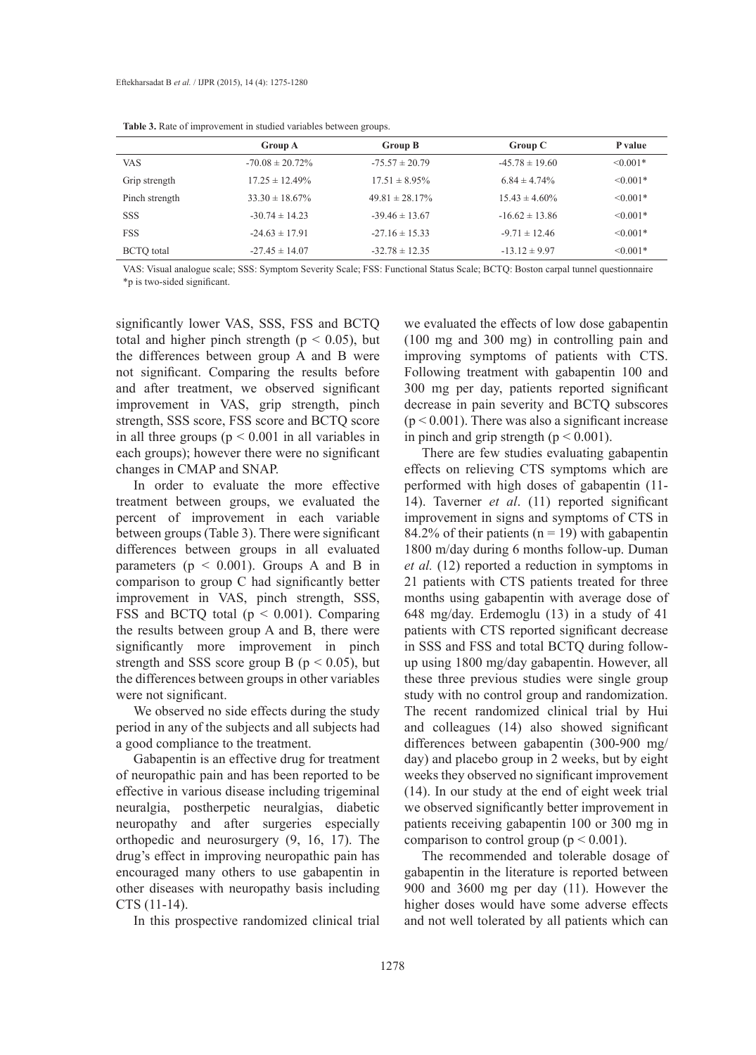|                   | Group A              | Group B             | Group C            | P value       |
|-------------------|----------------------|---------------------|--------------------|---------------|
| VAS.              | $-70.08 \pm 20.72\%$ | $-75.57 \pm 20.79$  | $-45.78 \pm 19.60$ | $\leq 0.001*$ |
| Grip strength     | $17.25 \pm 12.49\%$  | $17.51 \pm 8.95\%$  | $6.84 \pm 4.74\%$  | $\leq 0.001*$ |
| Pinch strength    | $33.30 \pm 18.67\%$  | $49.81 \pm 28.17\%$ | $15.43 \pm 4.60\%$ | $\leq 0.001*$ |
| <b>SSS</b>        | $-30.74 \pm 14.23$   | $-39.46 \pm 13.67$  | $-16.62 \pm 13.86$ | $\leq 0.001*$ |
| <b>FSS</b>        | $-24.63 \pm 17.91$   | $-27.16 \pm 15.33$  | $-9.71 \pm 12.46$  | $\leq 0.001*$ |
| <b>BCTO</b> total | $-27.45 \pm 14.07$   | $-32.78 \pm 12.35$  | $-13.12 \pm 9.97$  | $\leq 0.001*$ |

VAS: Visual analogue scale; SSS: Symptom Severity Scale; FSS: Functional Status Scale; BCTQ: Boston carpal tunnel questionnaire \*p is two-sided significant.

significantly lower VAS, SSS, FSS and BCTQ total and higher pinch strength ( $p < 0.05$ ), but the differences between group A and B were not significant. Comparing the results before and after treatment, we observed significant improvement in VAS, grip strength, pinch strength, SSS score, FSS score and BCTQ score in all three groups ( $p < 0.001$  in all variables in each groups); however there were no significant changes in CMAP and SNAP.

In order to evaluate the more effective treatment between groups, we evaluated the percent of improvement in each variable between groups (Table 3). There were significant differences between groups in all evaluated parameters ( $p < 0.001$ ). Groups A and B in comparison to group C had significantly better improvement in VAS, pinch strength, SSS, FSS and BCTQ total (p < 0.001). Comparing the results between group A and B, there were significantly more improvement in pinch strength and SSS score group B ( $p < 0.05$ ), but the differences between groups in other variables were not significant.

We observed no side effects during the study period in any of the subjects and all subjects had a good compliance to the treatment.

Gabapentin is an effective drug for treatment of neuropathic pain and has been reported to be effective in various disease including trigeminal neuralgia, postherpetic neuralgias, diabetic neuropathy and after surgeries especially orthopedic and neurosurgery (9, 16, 17). The drug's effect in improving neuropathic pain has encouraged many others to use gabapentin in other diseases with neuropathy basis including CTS (11-14).

In this prospective randomized clinical trial

we evaluated the effects of low dose gabapentin (100 mg and 300 mg) in controlling pain and improving symptoms of patients with CTS. Following treatment with gabapentin 100 and 300 mg per day, patients reported significant decrease in pain severity and BCTQ subscores  $(p < 0.001)$ . There was also a significant increase in pinch and grip strength ( $p < 0.001$ ).

There are few studies evaluating gabapentin effects on relieving CTS symptoms which are performed with high doses of gabapentin (11- 14). Taverner *et al*. (11) reported significant improvement in signs and symptoms of CTS in 84.2% of their patients ( $n = 19$ ) with gabapentin 1800 m/day during 6 months follow-up. Duman *et al.* (12) reported a reduction in symptoms in 21 patients with CTS patients treated for three months using gabapentin with average dose of 648 mg/day. Erdemoglu (13) in a study of 41 patients with CTS reported significant decrease in SSS and FSS and total BCTQ during followup using 1800 mg/day gabapentin. However, all these three previous studies were single group study with no control group and randomization. The recent randomized clinical trial by Hui and colleagues (14) also showed significant differences between gabapentin (300-900 mg/ day) and placebo group in 2 weeks, but by eight weeks they observed no significant improvement (14). In our study at the end of eight week trial we observed significantly better improvement in patients receiving gabapentin 100 or 300 mg in comparison to control group ( $p < 0.001$ ).

The recommended and tolerable dosage of gabapentin in the literature is reported between 900 and 3600 mg per day (11). However the higher doses would have some adverse effects and not well tolerated by all patients which can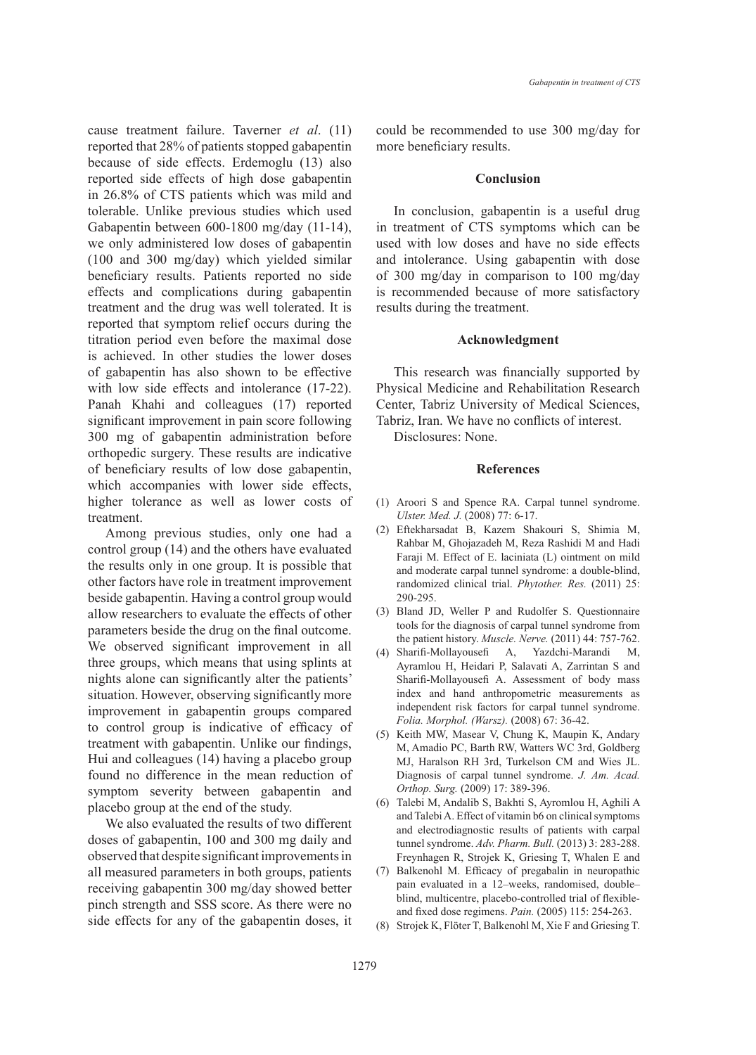cause treatment failure. Taverner *et al*. (11) reported that 28% of patients stopped gabapentin because of side effects. Erdemoglu (13) also reported side effects of high dose gabapentin in 26.8% of CTS patients which was mild and tolerable. Unlike previous studies which used Gabapentin between 600-1800 mg/day (11-14), we only administered low doses of gabapentin (100 and 300 mg/day) which yielded similar beneficiary results. Patients reported no side effects and complications during gabapentin treatment and the drug was well tolerated. It is reported that symptom relief occurs during the titration period even before the maximal dose is achieved. In other studies the lower doses of gabapentin has also shown to be effective with low side effects and intolerance  $(17-22)$ . Panah Khahi and colleagues (17) reported significant improvement in pain score following 300 mg of gabapentin administration before orthopedic surgery. These results are indicative of beneficiary results of low dose gabapentin, which accompanies with lower side effects, higher tolerance as well as lower costs of treatment.

Among previous studies, only one had a control group (14) and the others have evaluated the results only in one group. It is possible that other factors have role in treatment improvement beside gabapentin. Having a control group would allow researchers to evaluate the effects of other parameters beside the drug on the final outcome. We observed significant improvement in all three groups, which means that using splints at nights alone can significantly alter the patients' situation. However, observing significantly more improvement in gabapentin groups compared to control group is indicative of efficacy of treatment with gabapentin. Unlike our findings, Hui and colleagues (14) having a placebo group found no difference in the mean reduction of symptom severity between gabapentin and placebo group at the end of the study.

We also evaluated the results of two different doses of gabapentin, 100 and 300 mg daily and observed that despite significant improvements in all measured parameters in both groups, patients receiving gabapentin 300 mg/day showed better pinch strength and SSS score. As there were no side effects for any of the gabapentin doses, it could be recommended to use 300 mg/day for more beneficiary results.

#### **Conclusion**

In conclusion, gabapentin is a useful drug in treatment of CTS symptoms which can be used with low doses and have no side effects and intolerance. Using gabapentin with dose of 300 mg/day in comparison to 100 mg/day is recommended because of more satisfactory results during the treatment.

#### **Acknowledgment**

This research was financially supported by Physical Medicine and Rehabilitation Research Center, Tabriz University of Medical Sciences, Tabriz, Iran. We have no conflicts of interest.

Disclosures: None.

#### **References**

- Aroori S and Spence RA. Carpal tunnel syndrome. (1) *Ulster. Med. J.* (2008) 77: 6-17.
- Eftekharsadat B, Kazem Shakouri S, Shimia M, (2) Rahbar M, Ghojazadeh M, Reza Rashidi M and Hadi Faraji M. Effect of E. laciniata (L) ointment on mild and moderate carpal tunnel syndrome: a double-blind, randomized clinical trial. *Phytother. Res.* (2011) 25: 290-295.
- Bland JD, Weller P and Rudolfer S. Questionnaire (3) tools for the diagnosis of carpal tunnel syndrome from the patient history. *Muscle. Nerve.* (2011) 44: 757-762.
- Sharifi-Mollayousefi A, Yazdchi-Marandi M, (4) Ayramlou H, Heidari P, Salavati A, Zarrintan S and Sharifi-Mollayousefi A. Assessment of body mass index and hand anthropometric measurements as independent risk factors for carpal tunnel syndrome. *Folia. Morphol. (Warsz).* (2008) 67: 36-42.
- (5) Keith MW, Masear V, Chung K, Maupin K, Andary M, Amadio PC, Barth RW, Watters WC 3rd, Goldberg MJ, Haralson RH 3rd, Turkelson CM and Wies JL. Diagnosis of carpal tunnel syndrome. *J. Am. Acad. Orthop. Surg.* (2009) 17: 389-396.
- Talebi M, Andalib S, Bakhti S, Ayromlou H, Aghili A (6) and Talebi A. Effect of vitamin b6 on clinical symptoms and electrodiagnostic results of patients with carpal tunnel syndrome. *Adv. Pharm. Bull.* (2013) 3: 283-288. Freynhagen R, Strojek K, Griesing T, Whalen E and
- (7) Balkenohl M. Efficacy of pregabalin in neuropathic pain evaluated in a 12–weeks, randomised, double– blind, multicentre, placebo-controlled trial of flexibleand fixed dose regimens. *Pain.* (2005) 115: 254-263.
- Strojek K, Flöter T, Balkenohl M, Xie F and Griesing T. (8)